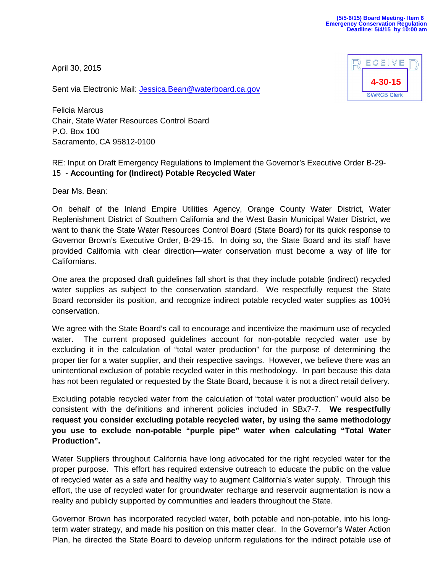April 30, 2015



Sent via Electronic Mail: [Jessica.Bean@waterboard.ca.gov](mailto:Jessica.Bean@waterboard.ca.gov)

Felicia Marcus Chair, State Water Resources Control Board P.O. Box 100 Sacramento, CA 95812-0100

## RE: Input on Draft Emergency Regulations to Implement the Governor's Executive Order B-29- 15 - **Accounting for (Indirect) Potable Recycled Water**

Dear Ms. Bean:

On behalf of the Inland Empire Utilities Agency, Orange County Water District, Water Replenishment District of Southern California and the West Basin Municipal Water District, we want to thank the State Water Resources Control Board (State Board) for its quick response to Governor Brown's Executive Order, B-29-15. In doing so, the State Board and its staff have provided California with clear direction—water conservation must become a way of life for Californians.

One area the proposed draft guidelines fall short is that they include potable (indirect) recycled water supplies as subject to the conservation standard. We respectfully request the State Board reconsider its position, and recognize indirect potable recycled water supplies as 100% conservation.

We agree with the State Board's call to encourage and incentivize the maximum use of recycled water. The current proposed guidelines account for non-potable recycled water use by excluding it in the calculation of "total water production" for the purpose of determining the proper tier for a water supplier, and their respective savings. However, we believe there was an unintentional exclusion of potable recycled water in this methodology. In part because this data has not been regulated or requested by the State Board, because it is not a direct retail delivery.

Excluding potable recycled water from the calculation of "total water production" would also be consistent with the definitions and inherent policies included in SBx7-7. **We respectfully request you consider excluding potable recycled water, by using the same methodology you use to exclude non-potable "purple pipe" water when calculating "Total Water Production".**

Water Suppliers throughout California have long advocated for the right recycled water for the proper purpose. This effort has required extensive outreach to educate the public on the value of recycled water as a safe and healthy way to augment California's water supply. Through this effort, the use of recycled water for groundwater recharge and reservoir augmentation is now a reality and publicly supported by communities and leaders throughout the State.

Governor Brown has incorporated recycled water, both potable and non-potable, into his longterm water strategy, and made his position on this matter clear. In the Governor's Water Action Plan, he directed the State Board to develop uniform regulations for the indirect potable use of